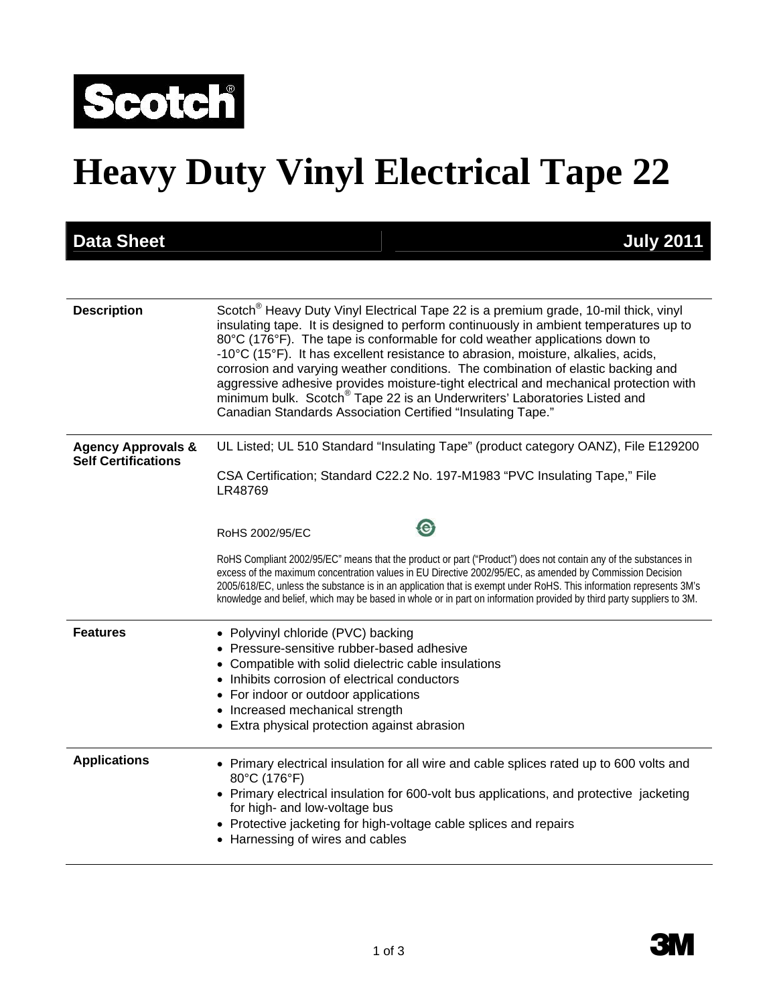

# **Heavy Duty Vinyl Electrical Tape 22**

| <b>Data Sheet</b>                                           | <b>July 2011</b>                                                                                                                                                                                                                                                                                                                                                                                                                                                                                                                                                                                                                                                                                  |
|-------------------------------------------------------------|---------------------------------------------------------------------------------------------------------------------------------------------------------------------------------------------------------------------------------------------------------------------------------------------------------------------------------------------------------------------------------------------------------------------------------------------------------------------------------------------------------------------------------------------------------------------------------------------------------------------------------------------------------------------------------------------------|
|                                                             |                                                                                                                                                                                                                                                                                                                                                                                                                                                                                                                                                                                                                                                                                                   |
| <b>Description</b>                                          | Scotch <sup>®</sup> Heavy Duty Vinyl Electrical Tape 22 is a premium grade, 10-mil thick, vinyl<br>insulating tape. It is designed to perform continuously in ambient temperatures up to<br>80°C (176°F). The tape is conformable for cold weather applications down to<br>-10°C (15°F). It has excellent resistance to abrasion, moisture, alkalies, acids,<br>corrosion and varying weather conditions. The combination of elastic backing and<br>aggressive adhesive provides moisture-tight electrical and mechanical protection with<br>minimum bulk. Scotch <sup>®</sup> Tape 22 is an Underwriters' Laboratories Listed and<br>Canadian Standards Association Certified "Insulating Tape." |
| <b>Agency Approvals &amp;</b><br><b>Self Certifications</b> | UL Listed; UL 510 Standard "Insulating Tape" (product category OANZ), File E129200<br>CSA Certification; Standard C22.2 No. 197-M1983 "PVC Insulating Tape," File<br>LR48769                                                                                                                                                                                                                                                                                                                                                                                                                                                                                                                      |
|                                                             | $\mathbf{\Theta}$<br>RoHS 2002/95/EC                                                                                                                                                                                                                                                                                                                                                                                                                                                                                                                                                                                                                                                              |
|                                                             | RoHS Compliant 2002/95/EC" means that the product or part ("Product") does not contain any of the substances in<br>excess of the maximum concentration values in EU Directive 2002/95/EC, as amended by Commission Decision<br>2005/618/EC, unless the substance is in an application that is exempt under RoHS. This information represents 3M's<br>knowledge and belief, which may be based in whole or in part on information provided by third party suppliers to 3M.                                                                                                                                                                                                                         |
| <b>Features</b>                                             | • Polyvinyl chloride (PVC) backing<br>Pressure-sensitive rubber-based adhesive<br>Compatible with solid dielectric cable insulations<br>Inhibits corrosion of electrical conductors<br>For indoor or outdoor applications<br>$\bullet$<br>Increased mechanical strength<br>Extra physical protection against abrasion                                                                                                                                                                                                                                                                                                                                                                             |
| <b>Applications</b>                                         | • Primary electrical insulation for all wire and cable splices rated up to 600 volts and<br>80°C (176°F)<br>• Primary electrical insulation for 600-volt bus applications, and protective jacketing<br>for high- and low-voltage bus<br>Protective jacketing for high-voltage cable splices and repairs<br>Harnessing of wires and cables                                                                                                                                                                                                                                                                                                                                                         |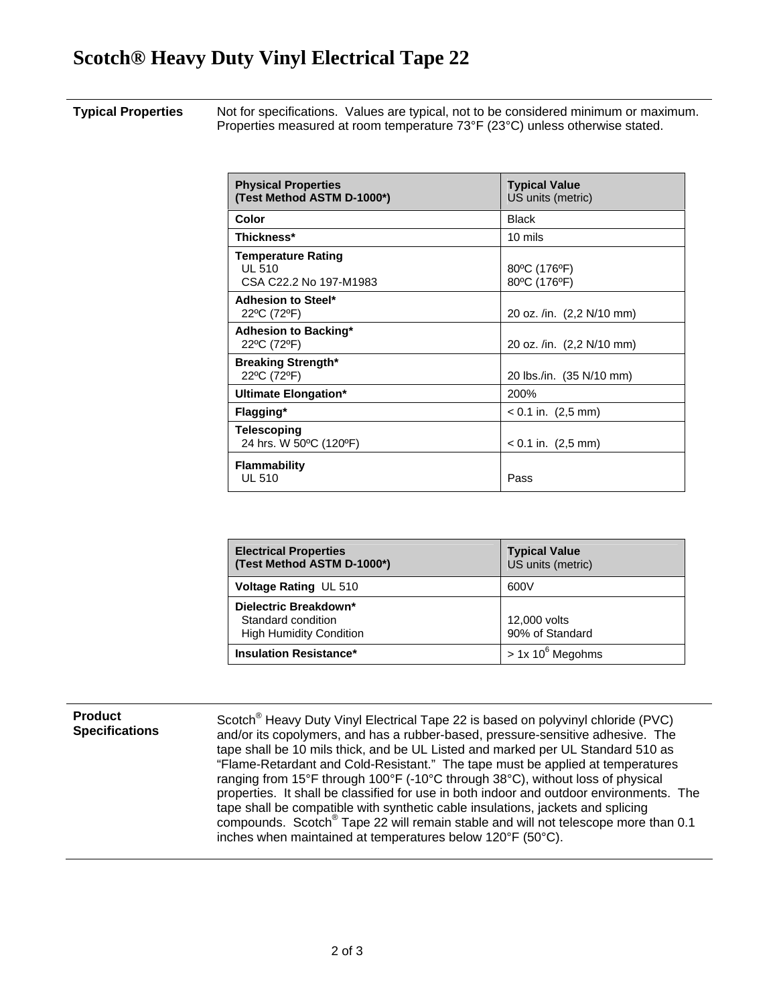### **Scotch® Heavy Duty Vinyl Electrical Tape 22**

#### **Typical Properties** Not for specifications. Values are typical, not to be considered minimum or maximum. Properties measured at room temperature 73°F (23°C) unless otherwise stated.

| <b>Physical Properties</b><br>(Test Method ASTM D-1000*)             | <b>Typical Value</b><br>US units (metric) |
|----------------------------------------------------------------------|-------------------------------------------|
| Color                                                                | <b>Black</b>                              |
| Thickness*                                                           | 10 mils                                   |
| <b>Temperature Rating</b><br><b>UL 510</b><br>CSA C22.2 No 197-M1983 | 80°C (176°F)<br>80°C (176°F)              |
| Adhesion to Steel*<br>22°C (72°F)                                    | 20 oz. /in. (2,2 N/10 mm)                 |
| <b>Adhesion to Backing*</b><br>22°C (72°F)                           | 20 oz. /in. (2,2 N/10 mm)                 |
| <b>Breaking Strength*</b><br>22°C (72°F)                             | 20 lbs./in. (35 N/10 mm)                  |
| Ultimate Elongation*                                                 | 200%                                      |
| Flagging*                                                            | $< 0.1$ in. (2,5 mm)                      |
| <b>Telescoping</b><br>24 hrs. W 50°C (120°F)                         | $< 0.1$ in. (2,5 mm)                      |
| <b>Flammability</b><br><b>UL 510</b>                                 | Pass                                      |

| <b>Electrical Properties</b><br>(Test Method ASTM D-1000*)                    | <b>Typical Value</b><br>US units (metric) |
|-------------------------------------------------------------------------------|-------------------------------------------|
| <b>Voltage Rating UL 510</b>                                                  | 600V                                      |
| Dielectric Breakdown*<br>Standard condition<br><b>High Humidity Condition</b> | 12,000 volts<br>90% of Standard           |
| <b>Insulation Resistance*</b>                                                 | $> 1x 10^6$ Megohms                       |

#### **Product Specifications**

Scotch<sup>®</sup> Heavy Duty Vinyl Electrical Tape 22 is based on polyvinyl chloride (PVC) and/or its copolymers, and has a rubber-based, pressure-sensitive adhesive. The tape shall be 10 mils thick, and be UL Listed and marked per UL Standard 510 as "Flame-Retardant and Cold-Resistant." The tape must be applied at temperatures ranging from 15°F through 100°F (-10°C through 38°C), without loss of physical properties. It shall be classified for use in both indoor and outdoor environments. The tape shall be compatible with synthetic cable insulations, jackets and splicing compounds. Scotch® Tape 22 will remain stable and will not telescope more than 0.1 inches when maintained at temperatures below 120°F (50°C).